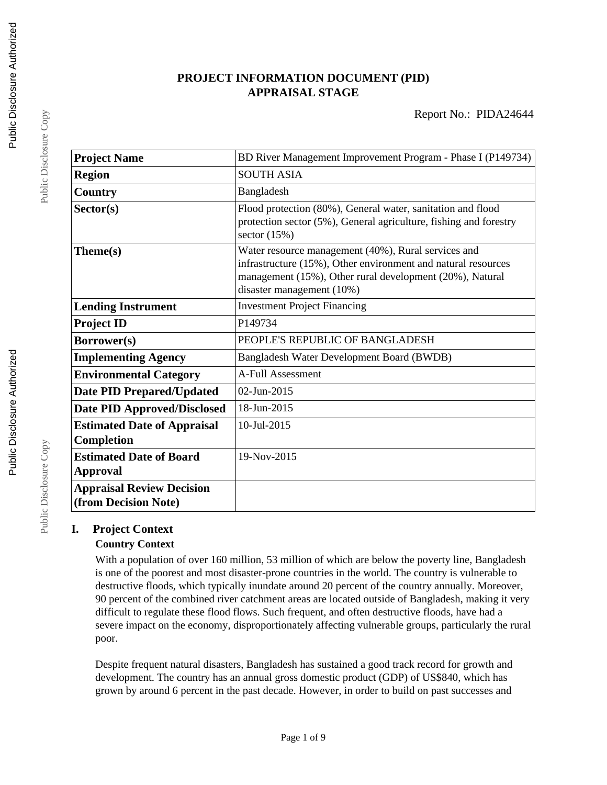# **PROJECT INFORMATION DOCUMENT (PID) APPRAISAL STAGE**

| <b>Project Name</b>                                      | BD River Management Improvement Program - Phase I (P149734)                                                                                                                                                      |  |  |
|----------------------------------------------------------|------------------------------------------------------------------------------------------------------------------------------------------------------------------------------------------------------------------|--|--|
| <b>Region</b>                                            | <b>SOUTH ASIA</b>                                                                                                                                                                                                |  |  |
| Country                                                  | Bangladesh                                                                                                                                                                                                       |  |  |
| Sector(s)                                                | Flood protection (80%), General water, sanitation and flood<br>protection sector (5%), General agriculture, fishing and forestry<br>sector $(15%)$                                                               |  |  |
| Theme(s)                                                 | Water resource management (40%), Rural services and<br>infrastructure (15%), Other environment and natural resources<br>management (15%), Other rural development (20%), Natural<br>disaster management $(10\%)$ |  |  |
| <b>Lending Instrument</b>                                | <b>Investment Project Financing</b>                                                                                                                                                                              |  |  |
| <b>Project ID</b>                                        | P149734                                                                                                                                                                                                          |  |  |
| <b>Borrower(s)</b>                                       | PEOPLE'S REPUBLIC OF BANGLADESH                                                                                                                                                                                  |  |  |
| <b>Implementing Agency</b>                               | Bangladesh Water Development Board (BWDB)                                                                                                                                                                        |  |  |
| <b>Environmental Category</b>                            | <b>A-Full Assessment</b>                                                                                                                                                                                         |  |  |
| <b>Date PID Prepared/Updated</b>                         | 02-Jun-2015                                                                                                                                                                                                      |  |  |
| <b>Date PID Approved/Disclosed</b>                       | 18-Jun-2015                                                                                                                                                                                                      |  |  |
| <b>Estimated Date of Appraisal</b><br>Completion         | 10-Jul-2015                                                                                                                                                                                                      |  |  |
| <b>Estimated Date of Board</b><br><b>Approval</b>        | 19-Nov-2015                                                                                                                                                                                                      |  |  |
| <b>Appraisal Review Decision</b><br>(from Decision Note) |                                                                                                                                                                                                                  |  |  |

# **I. Project Context**

# **Country Context**

With a population of over 160 million, 53 million of which are below the poverty line, Bangladesh is one of the poorest and most disaster-prone countries in the world. The country is vulnerable to destructive floods, which typically inundate around 20 percent of the country annually. Moreover, 90 percent of the combined river catchment areas are located outside of Bangladesh, making it very difficult to regulate these flood flows. Such frequent, and often destructive floods, have had a severe impact on the economy, disproportionately affecting vulnerable groups, particularly the rural poor.

Despite frequent natural disasters, Bangladesh has sustained a good track record for growth and development. The country has an annual gross domestic product (GDP) of US\$840, which has grown by around 6 percent in the past decade. However, in order to build on past successes and

Public Disclosure Copy

Public Disclosure Copy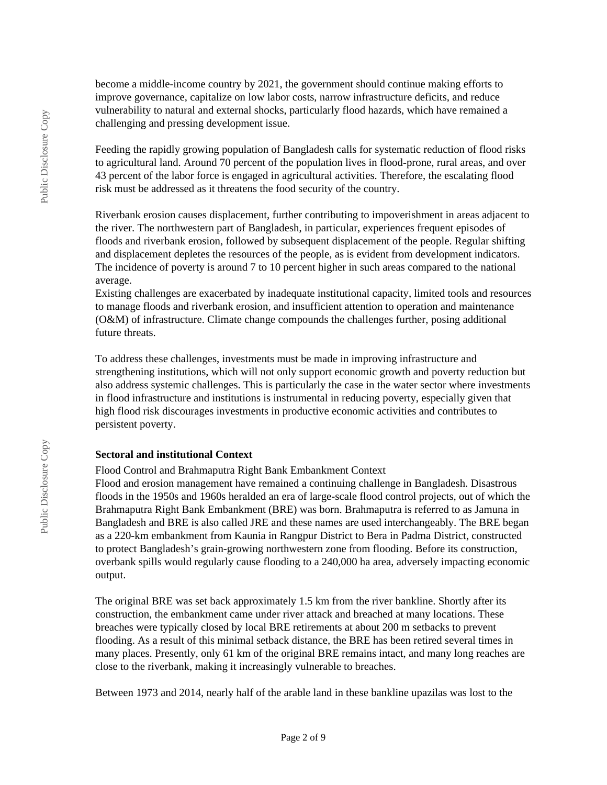become a middle-income country by 2021, the government should continue making efforts to improve governance, capitalize on low labor costs, narrow infrastructure deficits, and reduce vulnerability to natural and external shocks, particularly flood hazards, which have remained a challenging and pressing development issue.

Feeding the rapidly growing population of Bangladesh calls for systematic reduction of flood risks to agricultural land. Around 70 percent of the population lives in flood-prone, rural areas, and over 43 percent of the labor force is engaged in agricultural activities. Therefore, the escalating flood risk must be addressed as it threatens the food security of the country.

Riverbank erosion causes displacement, further contributing to impoverishment in areas adjacent to the river. The northwestern part of Bangladesh, in particular, experiences frequent episodes of floods and riverbank erosion, followed by subsequent displacement of the people. Regular shifting and displacement depletes the resources of the people, as is evident from development indicators. The incidence of poverty is around 7 to 10 percent higher in such areas compared to the national average.

Existing challenges are exacerbated by inadequate institutional capacity, limited tools and resources to manage floods and riverbank erosion, and insufficient attention to operation and maintenance (O&M) of infrastructure. Climate change compounds the challenges further, posing additional future threats.

To address these challenges, investments must be made in improving infrastructure and strengthening institutions, which will not only support economic growth and poverty reduction but also address systemic challenges. This is particularly the case in the water sector where investments in flood infrastructure and institutions is instrumental in reducing poverty, especially given that high flood risk discourages investments in productive economic activities and contributes to persistent poverty.

#### **Sectoral and institutional Context**

Flood Control and Brahmaputra Right Bank Embankment Context

Flood and erosion management have remained a continuing challenge in Bangladesh. Disastrous floods in the 1950s and 1960s heralded an era of large-scale flood control projects, out of which the Brahmaputra Right Bank Embankment (BRE) was born. Brahmaputra is referred to as Jamuna in Bangladesh and BRE is also called JRE and these names are used interchangeably. The BRE began as a 220-km embankment from Kaunia in Rangpur District to Bera in Padma District, constructed to protect Bangladesh's grain-growing northwestern zone from flooding. Before its construction, overbank spills would regularly cause flooding to a 240,000 ha area, adversely impacting economic output.

The original BRE was set back approximately 1.5 km from the river bankline. Shortly after its construction, the embankment came under river attack and breached at many locations. These breaches were typically closed by local BRE retirements at about 200 m setbacks to prevent flooding. As a result of this minimal setback distance, the BRE has been retired several times in many places. Presently, only 61 km of the original BRE remains intact, and many long reaches are close to the riverbank, making it increasingly vulnerable to breaches.

Between 1973 and 2014, nearly half of the arable land in these bankline upazilas was lost to the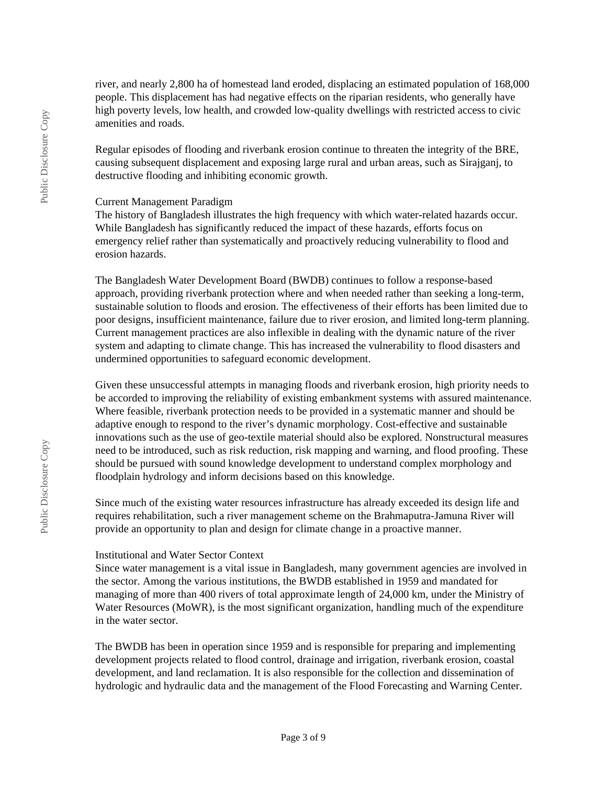river, and nearly 2,800 ha of homestead land eroded, displacing an estimated population of 168,000 people. This displacement has had negative effects on the riparian residents, who generally have high poverty levels, low health, and crowded low-quality dwellings with restricted access to civic amenities and roads.

Regular episodes of flooding and riverbank erosion continue to threaten the integrity of the BRE, causing subsequent displacement and exposing large rural and urban areas, such as Sirajganj, to destructive flooding and inhibiting economic growth.

#### Current Management Paradigm

The history of Bangladesh illustrates the high frequency with which water-related hazards occur. While Bangladesh has significantly reduced the impact of these hazards, efforts focus on emergency relief rather than systematically and proactively reducing vulnerability to flood and erosion hazards.

The Bangladesh Water Development Board (BWDB) continues to follow a response-based approach, providing riverbank protection where and when needed rather than seeking a long-term, sustainable solution to floods and erosion. The effectiveness of their efforts has been limited due to poor designs, insufficient maintenance, failure due to river erosion, and limited long-term planning. Current management practices are also inflexible in dealing with the dynamic nature of the river system and adapting to climate change. This has increased the vulnerability to flood disasters and undermined opportunities to safeguard economic development.

Given these unsuccessful attempts in managing floods and riverbank erosion, high priority needs to be accorded to improving the reliability of existing embankment systems with assured maintenance. Where feasible, riverbank protection needs to be provided in a systematic manner and should be adaptive enough to respond to the river's dynamic morphology. Cost-effective and sustainable innovations such as the use of geo-textile material should also be explored. Nonstructural measures need to be introduced, such as risk reduction, risk mapping and warning, and flood proofing. These should be pursued with sound knowledge development to understand complex morphology and floodplain hydrology and inform decisions based on this knowledge.

Since much of the existing water resources infrastructure has already exceeded its design life and requires rehabilitation, such a river management scheme on the Brahmaputra-Jamuna River will provide an opportunity to plan and design for climate change in a proactive manner.

#### Institutional and Water Sector Context

Since water management is a vital issue in Bangladesh, many government agencies are involved in the sector. Among the various institutions, the BWDB established in 1959 and mandated for managing of more than 400 rivers of total approximate length of 24,000 km, under the Ministry of Water Resources (MoWR), is the most significant organization, handling much of the expenditure in the water sector.

The BWDB has been in operation since 1959 and is responsible for preparing and implementing development projects related to flood control, drainage and irrigation, riverbank erosion, coastal development, and land reclamation. It is also responsible for the collection and dissemination of hydrologic and hydraulic data and the management of the Flood Forecasting and Warning Center.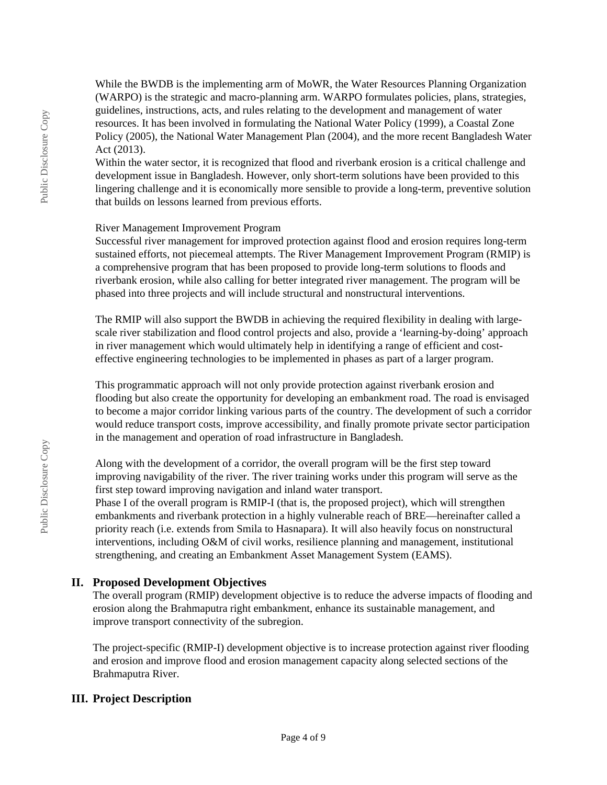While the BWDB is the implementing arm of MoWR, the Water Resources Planning Organization (WARPO) is the strategic and macro-planning arm. WARPO formulates policies, plans, strategies, guidelines, instructions, acts, and rules relating to the development and management of water resources. It has been involved in formulating the National Water Policy (1999), a Coastal Zone Policy (2005), the National Water Management Plan (2004), and the more recent Bangladesh Water Act (2013).

Within the water sector, it is recognized that flood and riverbank erosion is a critical challenge and development issue in Bangladesh. However, only short-term solutions have been provided to this lingering challenge and it is economically more sensible to provide a long-term, preventive solution that builds on lessons learned from previous efforts.

#### River Management Improvement Program

Successful river management for improved protection against flood and erosion requires long-term sustained efforts, not piecemeal attempts. The River Management Improvement Program (RMIP) is a comprehensive program that has been proposed to provide long-term solutions to floods and riverbank erosion, while also calling for better integrated river management. The program will be phased into three projects and will include structural and nonstructural interventions.

The RMIP will also support the BWDB in achieving the required flexibility in dealing with largescale river stabilization and flood control projects and also, provide a 'learning-by-doing' approach in river management which would ultimately help in identifying a range of efficient and costeffective engineering technologies to be implemented in phases as part of a larger program.

This programmatic approach will not only provide protection against riverbank erosion and flooding but also create the opportunity for developing an embankment road. The road is envisaged to become a major corridor linking various parts of the country. The development of such a corridor would reduce transport costs, improve accessibility, and finally promote private sector participation in the management and operation of road infrastructure in Bangladesh.

Along with the development of a corridor, the overall program will be the first step toward improving navigability of the river. The river training works under this program will serve as the first step toward improving navigation and inland water transport.

Phase I of the overall program is RMIP-I (that is, the proposed project), which will strengthen embankments and riverbank protection in a highly vulnerable reach of BRE—hereinafter called a priority reach (i.e. extends from Smila to Hasnapara). It will also heavily focus on nonstructural interventions, including O&M of civil works, resilience planning and management, institutional strengthening, and creating an Embankment Asset Management System (EAMS).

# **II. Proposed Development Objectives**

The overall program (RMIP) development objective is to reduce the adverse impacts of flooding and erosion along the Brahmaputra right embankment, enhance its sustainable management, and improve transport connectivity of the subregion.

The project-specific (RMIP-I) development objective is to increase protection against river flooding and erosion and improve flood and erosion management capacity along selected sections of the Brahmaputra River.

# **III. Project Description**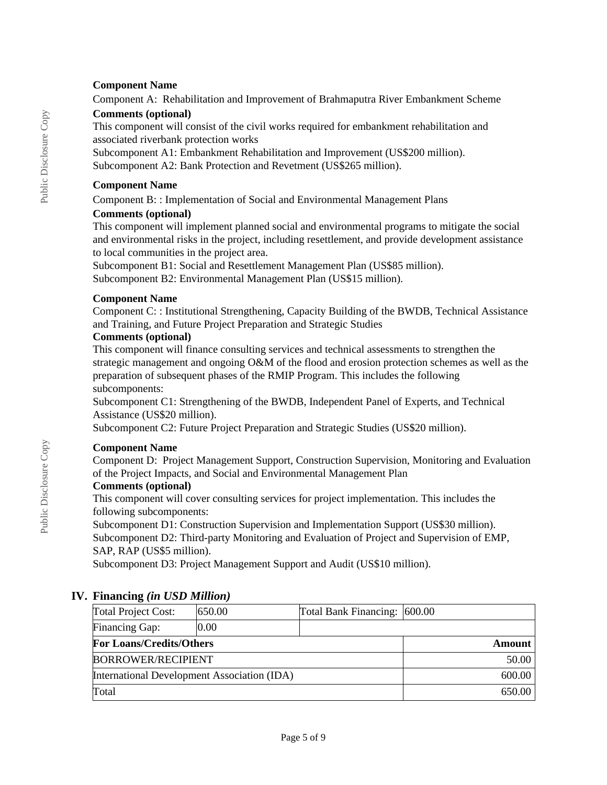# **Component Name**

Component A: Rehabilitation and Improvement of Brahmaputra River Embankment Scheme

# **Comments (optional)**

This component will consist of the civil works required for embankment rehabilitation and associated riverbank protection works

Subcomponent A1: Embankment Rehabilitation and Improvement (US\$200 million). Subcomponent A2: Bank Protection and Revetment (US\$265 million).

#### **Component Name**

Component B: : Implementation of Social and Environmental Management Plans

# **Comments (optional)**

This component will implement planned social and environmental programs to mitigate the social and environmental risks in the project, including resettlement, and provide development assistance to local communities in the project area.

Subcomponent B1: Social and Resettlement Management Plan (US\$85 million). Subcomponent B2: Environmental Management Plan (US\$15 million).

# **Component Name**

Component C: : Institutional Strengthening, Capacity Building of the BWDB, Technical Assistance and Training, and Future Project Preparation and Strategic Studies

# **Comments (optional)**

This component will finance consulting services and technical assessments to strengthen the strategic management and ongoing O&M of the flood and erosion protection schemes as well as the preparation of subsequent phases of the RMIP Program. This includes the following subcomponents:

Subcomponent C1: Strengthening of the BWDB, Independent Panel of Experts, and Technical Assistance (US\$20 million).

Subcomponent C2: Future Project Preparation and Strategic Studies (US\$20 million).

# **Component Name**

Component D: Project Management Support, Construction Supervision, Monitoring and Evaluation of the Project Impacts, and Social and Environmental Management Plan

# **Comments (optional)**

This component will cover consulting services for project implementation. This includes the following subcomponents:

Subcomponent D1: Construction Supervision and Implementation Support (US\$30 million). Subcomponent D2: Third-party Monitoring and Evaluation of Project and Supervision of EMP,

SAP, RAP (US\$5 million).

Subcomponent D3: Project Management Support and Audit (US\$10 million).

# **IV. Financing** *(in USD Million)*

| <b>Total Project Cost:</b>                  | 650.00 | Total Bank Financing: 600.00 |        |
|---------------------------------------------|--------|------------------------------|--------|
| <b>Financing Gap:</b>                       | 0.00   |                              |        |
| <b>For Loans/Credits/Others</b>             |        | Amount                       |        |
| <b>BORROWER/RECIPIENT</b>                   |        |                              | 50.00  |
| International Development Association (IDA) |        |                              | 600.00 |
| Total                                       |        |                              | 650.00 |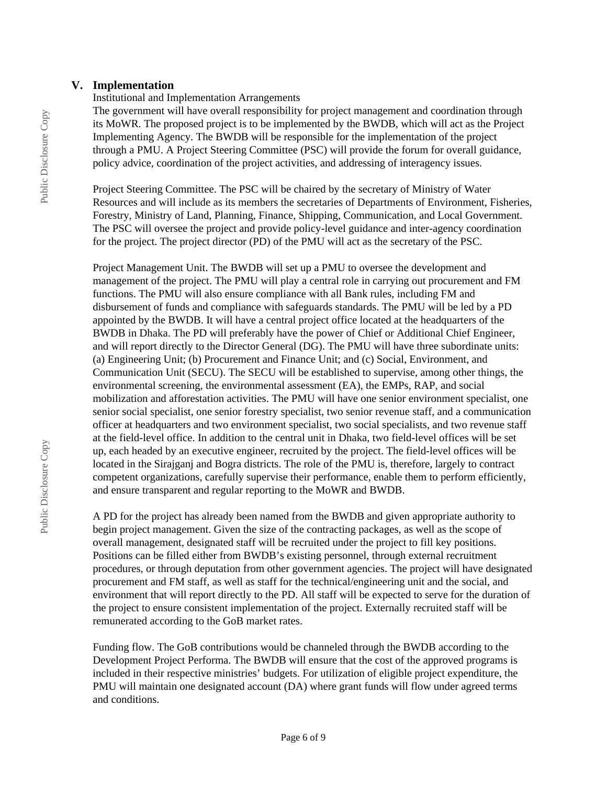#### **V. Implementation**

#### Institutional and Implementation Arrangements

The government will have overall responsibility for project management and coordination through its MoWR. The proposed project is to be implemented by the BWDB, which will act as the Project Implementing Agency. The BWDB will be responsible for the implementation of the project through a PMU. A Project Steering Committee (PSC) will provide the forum for overall guidance, policy advice, coordination of the project activities, and addressing of interagency issues.

Project Steering Committee. The PSC will be chaired by the secretary of Ministry of Water Resources and will include as its members the secretaries of Departments of Environment, Fisheries, Forestry, Ministry of Land, Planning, Finance, Shipping, Communication, and Local Government. The PSC will oversee the project and provide policy-level guidance and inter-agency coordination for the project. The project director (PD) of the PMU will act as the secretary of the PSC.

Project Management Unit. The BWDB will set up a PMU to oversee the development and management of the project. The PMU will play a central role in carrying out procurement and FM functions. The PMU will also ensure compliance with all Bank rules, including FM and disbursement of funds and compliance with safeguards standards. The PMU will be led by a PD appointed by the BWDB. It will have a central project office located at the headquarters of the BWDB in Dhaka. The PD will preferably have the power of Chief or Additional Chief Engineer, and will report directly to the Director General (DG). The PMU will have three subordinate units: (a) Engineering Unit; (b) Procurement and Finance Unit; and (c) Social, Environment, and Communication Unit (SECU). The SECU will be established to supervise, among other things, the environmental screening, the environmental assessment (EA), the EMPs, RAP, and social mobilization and afforestation activities. The PMU will have one senior environment specialist, one senior social specialist, one senior forestry specialist, two senior revenue staff, and a communication officer at headquarters and two environment specialist, two social specialists, and two revenue staff at the field-level office. In addition to the central unit in Dhaka, two field-level offices will be set up, each headed by an executive engineer, recruited by the project. The field-level offices will be located in the Sirajganj and Bogra districts. The role of the PMU is, therefore, largely to contract competent organizations, carefully supervise their performance, enable them to perform efficiently, and ensure transparent and regular reporting to the MoWR and BWDB.

A PD for the project has already been named from the BWDB and given appropriate authority to begin project management. Given the size of the contracting packages, as well as the scope of overall management, designated staff will be recruited under the project to fill key positions. Positions can be filled either from BWDB's existing personnel, through external recruitment procedures, or through deputation from other government agencies. The project will have designated procurement and FM staff, as well as staff for the technical/engineering unit and the social, and environment that will report directly to the PD. All staff will be expected to serve for the duration of the project to ensure consistent implementation of the project. Externally recruited staff will be remunerated according to the GoB market rates.

Funding flow. The GoB contributions would be channeled through the BWDB according to the Development Project Performa. The BWDB will ensure that the cost of the approved programs is included in their respective ministries' budgets. For utilization of eligible project expenditure, the PMU will maintain one designated account (DA) where grant funds will flow under agreed terms and conditions.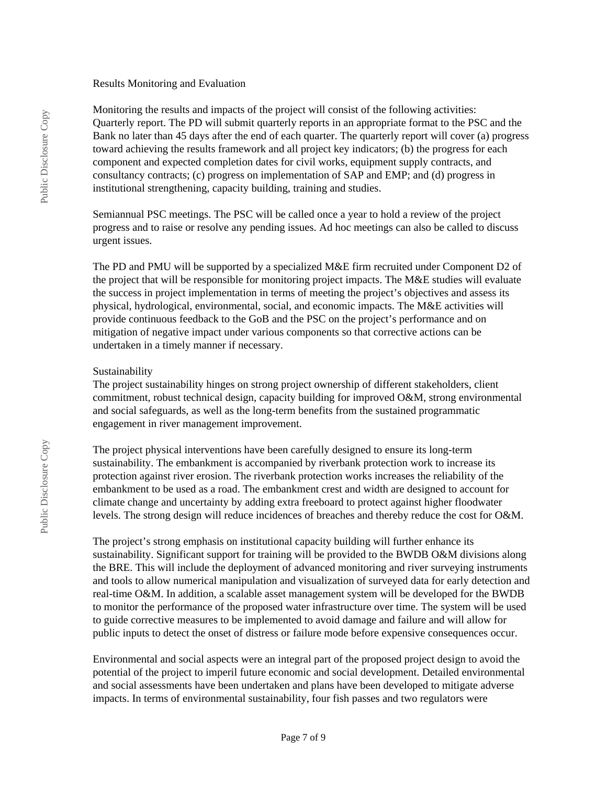#### Results Monitoring and Evaluation

Monitoring the results and impacts of the project will consist of the following activities: Quarterly report. The PD will submit quarterly reports in an appropriate format to the PSC and the Bank no later than 45 days after the end of each quarter. The quarterly report will cover (a) progress toward achieving the results framework and all project key indicators; (b) the progress for each component and expected completion dates for civil works, equipment supply contracts, and consultancy contracts; (c) progress on implementation of SAP and EMP; and (d) progress in institutional strengthening, capacity building, training and studies.

Semiannual PSC meetings. The PSC will be called once a year to hold a review of the project progress and to raise or resolve any pending issues. Ad hoc meetings can also be called to discuss urgent issues.

The PD and PMU will be supported by a specialized M&E firm recruited under Component D2 of the project that will be responsible for monitoring project impacts. The M&E studies will evaluate the success in project implementation in terms of meeting the project's objectives and assess its physical, hydrological, environmental, social, and economic impacts. The M&E activities will provide continuous feedback to the GoB and the PSC on the project's performance and on mitigation of negative impact under various components so that corrective actions can be undertaken in a timely manner if necessary.

#### Sustainability

The project sustainability hinges on strong project ownership of different stakeholders, client commitment, robust technical design, capacity building for improved O&M, strong environmental and social safeguards, as well as the long-term benefits from the sustained programmatic engagement in river management improvement.

The project physical interventions have been carefully designed to ensure its long-term sustainability. The embankment is accompanied by riverbank protection work to increase its protection against river erosion. The riverbank protection works increases the reliability of the embankment to be used as a road. The embankment crest and width are designed to account for climate change and uncertainty by adding extra freeboard to protect against higher floodwater levels. The strong design will reduce incidences of breaches and thereby reduce the cost for O&M.

The project's strong emphasis on institutional capacity building will further enhance its sustainability. Significant support for training will be provided to the BWDB O&M divisions along the BRE. This will include the deployment of advanced monitoring and river surveying instruments and tools to allow numerical manipulation and visualization of surveyed data for early detection and real-time O&M. In addition, a scalable asset management system will be developed for the BWDB to monitor the performance of the proposed water infrastructure over time. The system will be used to guide corrective measures to be implemented to avoid damage and failure and will allow for public inputs to detect the onset of distress or failure mode before expensive consequences occur.

Environmental and social aspects were an integral part of the proposed project design to avoid the potential of the project to imperil future economic and social development. Detailed environmental and social assessments have been undertaken and plans have been developed to mitigate adverse impacts. In terms of environmental sustainability, four fish passes and two regulators were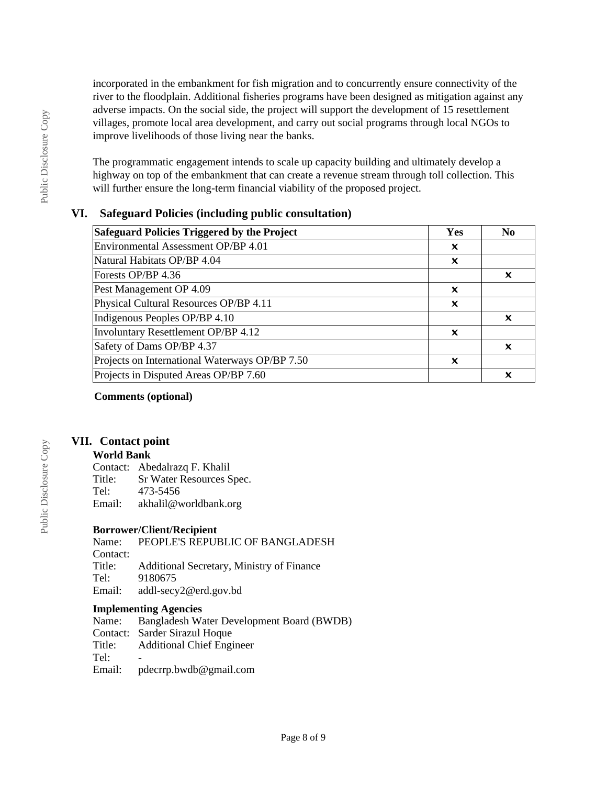incorporated in the embankment for fish migration and to concurrently ensure connectivity of the river to the floodplain. Additional fisheries programs have been designed as mitigation against any adverse impacts. On the social side, the project will support the development of 15 resettlement villages, promote local area development, and carry out social programs through local NGOs to improve livelihoods of those living near the banks.

The programmatic engagement intends to scale up capacity building and ultimately develop a highway on top of the embankment that can create a revenue stream through toll collection. This will further ensure the long-term financial viability of the proposed project.

# **VI. Safeguard Policies (including public consultation)**

| Safeguard Policies Triggered by the Project    |   | N <sub>0</sub> |
|------------------------------------------------|---|----------------|
| Environmental Assessment OP/BP 4.01            | x |                |
| Natural Habitats OP/BP 4.04                    | x |                |
| Forests OP/BP 4.36                             |   | x              |
| Pest Management OP 4.09                        | x |                |
| Physical Cultural Resources OP/BP 4.11         | x |                |
| Indigenous Peoples OP/BP 4.10                  |   | x              |
| Involuntary Resettlement OP/BP 4.12            | × |                |
| Safety of Dams OP/BP 4.37                      |   | ×              |
| Projects on International Waterways OP/BP 7.50 |   |                |
| Projects in Disputed Areas OP/BP 7.60          |   |                |

**Comments (optional)**

#### **VII. Contact point**

#### **World Bank**

Contact: Abedalrazq F. Khalil Title: Sr Water Resources Spec.<br>Tel: 473-5456 473-5456 Email: akhalil@worldbank.org

#### **Borrower/Client/Recipient**

Name: PEOPLE'S REPUBLIC OF BANGLADESH Contact: Title: Additional Secretary, Ministry of Finance Tel: 9180675 Email: addl-secy2@erd.gov.bd

# **Implementing Agencies**<br>Name: Bangladesh Wa

Name: Bangladesh Water Development Board (BWDB) Contact: Sarder Sirazul Hoque Title: Additional Chief Engineer Tel: Email: pdecrrp.bwdb@gmail.com

Public Disclosure Copy

Public Disclosure Copy